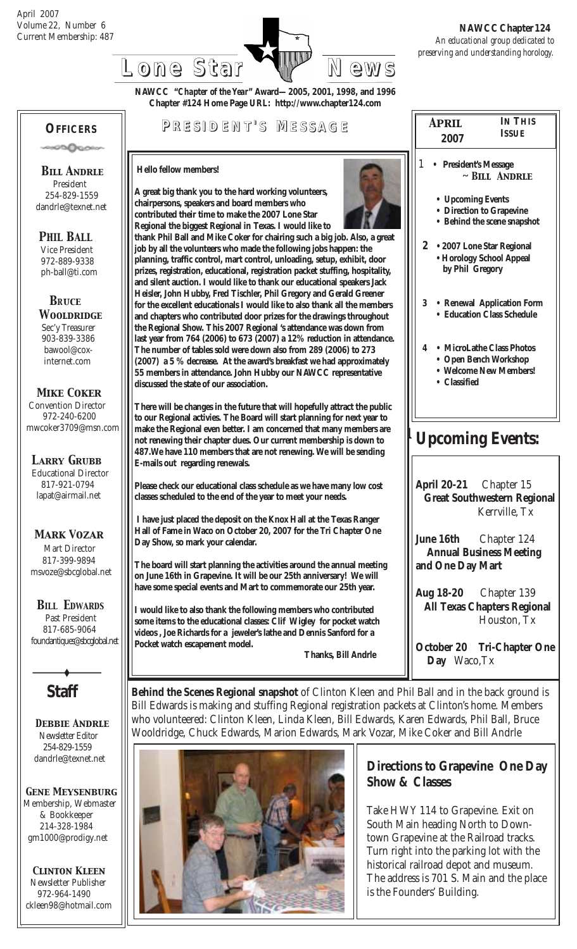

**NAWCC "***Chapter of the Year***" Award—2005, 2001, 1998, and 1996 Chapter #124 Home Page URL: http://www.chapter124.com**

### **OFFICERS**

ാമിലെം

 *Bill Andrle* President 254-829-1559 dandrle@texnet.net

#### *PHIL BALL*

 Vice President 972-889-9338 ph-ball@ti.com

 *BRuce Wooldridge* Sec'y Treasurer 903-839-3386 bawool@cox internet.com

 *Mike Coker* Convention Director

 972-240-6200 mwcoker3709@msn.com

*Larry Grubb* Educational Director 817-921-0794 lapat@airmail.net

#### *Mark Vozar* Mart Director

 817-399-9894 msvoze@sbcglobal.net

#### *BILL EDWARDS*

 Past President 817-685-9064 foundantiques@sbcglobal.net

**Staff**

 *Debbie Andrle* Newsletter Editor 254-829-1559 dandrle@texnet.net

*Gene Meysenburg* Membership, Webmaster & Bookkeeper 214-328-1984 gm1000@prodigy.net

 *Clinton Kleen* Newsletter Publisher 972-964-1490 ckleen98@hotmail.com

### **P RESIDENT RESIDENT' S M ESSAGE**

 **Hello fellow members!**

**A great big thank you to the hard working volunteers, chairpersons, speakers and board members who contributed their time to make the 2007 Lone Star**

**Regional the biggest Regional in Texas. I would like to thank Phil Ball and Mike Coker for chairing such a big job. Also, a great job by all the volunteers who made the following jobs happen: the planning, traffic control, mart control, unloading, setup, exhibit, door prizes, registration, educational, registration packet stuffing, hospitality, and silent auction. I would like to thank our educational speakers Jack Heisler, John Hubby, Fred Tischler, Phil Gregory and Gerald Greener for the excellent educationals I would like to also thank all the members and chapters who contributed door prizes for the drawings throughout the Regional Show. This 2007 Regional 's attendance was down from last year from 764 (2006) to 673 (2007) a 12% reduction in attendance. The number of tables sold were down also from 289 (2006) to 273 (2007) a 5 % decrease. At the award's breakfast we had approximately 55 members in attendance. John Hubby our NAWCC representative discussed the state of our association.**

**There will be changes in the future that will hopefully attract the public to our Regional activies. The Board will start planning for next year to make the Regional even better. I am concerned that many members are not renewing their chapter dues. Our current membership is down to 487.We have 110 members that are not renewing. We will be sending E-mails out regarding renewals.**

**Please check our educational class schedule as we have many low cost classes scheduled to the end of the year to meet your needs.**

 **I have just placed the deposit on the Knox Hall at the Texas Ranger Hall of Fame in Waco on October 20, 2007 for the Tri Chapter One Day Show, so mark your calendar.**

**The board will start planning the activities around the annual meeting on June 16th in Grapevine. It will be our 25th anniversary! We will have some special events and Mart to commemorate our 25th year.**

**I would like to also thank the following members who contributed some items to the educational classes: Clif Wigley for pocket watch videos , Joe Richards for a jeweler's lathe and Dennis Sanford for a Pocket watch escapement model. Thanks, Bill Andrle**

| APRIL                                                                                          | <b>IN THIS</b>                                                                |  |  |
|------------------------------------------------------------------------------------------------|-------------------------------------------------------------------------------|--|--|
| 2007                                                                                           | <b>ISSUE</b>                                                                  |  |  |
| 1                                                                                              | • President's Message<br>$\sim$ BILL ANDRLE                                   |  |  |
|                                                                                                | • Upcoming Events<br>• Direction to Grapevine<br>• Behind the scene snapshot  |  |  |
|                                                                                                | 2 • 2007 Lone Star Regional<br>• Horology School Appeal<br>by Phil Gregory    |  |  |
| 3 • Renewal Application Form<br>• Education Class Schedule                                     |                                                                               |  |  |
| 4 • MicroLathe Class Photos<br>• Open Bench Workshop<br>• Welcome New Members!<br>• Classified |                                                                               |  |  |
|                                                                                                | <b>Upcoming Events:</b>                                                       |  |  |
|                                                                                                | April 20-21 Chapter 15<br><b>Great Southwestern Regional</b><br>Kerrville, Tx |  |  |
| and One Day Mart                                                                               | June 16th Chapter 124<br><b>Annual Business Meeting</b>                       |  |  |
| Aug 18-20                                                                                      | Chapter 139                                                                   |  |  |

 **All Texas Chapters Regional** Houston, Tx

**October 20 Tri-Chapter One Day** Waco,Tx

**Behind the Scenes Regional snapshot** of Clinton Kleen and Phil Ball and in the back ground is Bill Edwards is making and stuffing Regional registration packets at Clinton's home. Members who volunteered: Clinton Kleen, Linda Kleen, Bill Edwards, Karen Edwards, Phil Ball, Bruce Wooldridge, Chuck Edwards, Marion Edwards, Mark Vozar, Mike Coker and Bill Andrle



### **Directions to Grapevine One Day Show & Classes**

Take HWY 114 to Grapevine. Exit on South Main heading North to Downtown Grapevine at the Railroad tracks. Turn right into the parking lot with the historical railroad depot and museum. The address is 701 S. Main and the place is the Founders' Building.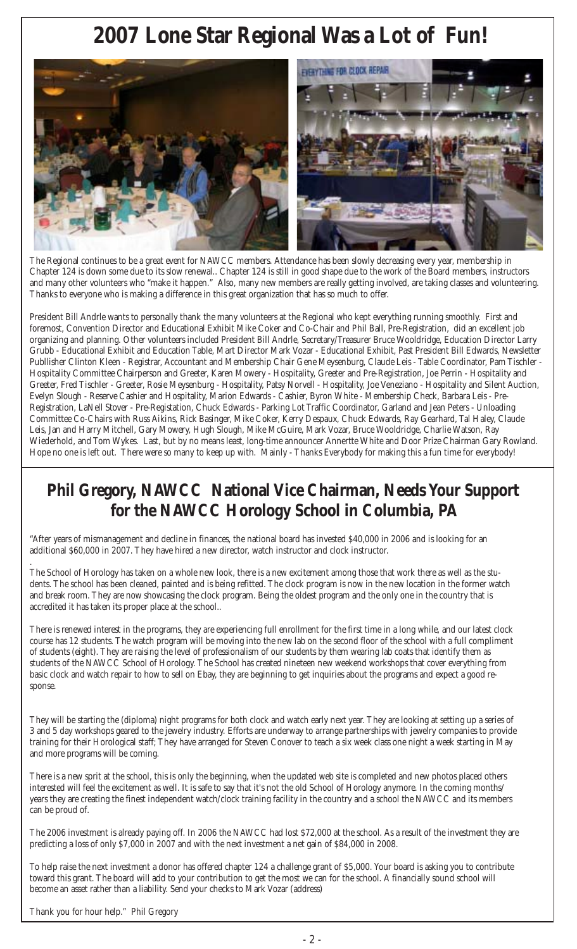# **2007 Lone Star Regional Was a Lot of Fun!**



The Regional continues to be a great event for NAWCC members. Attendance has been slowly decreasing every year, membership in Chapter 124 is down some due to its slow renewal.. Chapter 124 is still in good shape due to the work of the Board members, instructors and many other volunteers who "make it happen." Also, many new members are really getting involved, are taking classes and volunteering. Thanks to everyone who is making a difference in this great organization that has so much to offer.

President Bill Andrle wants to personally thank the many volunteers at the Regional who kept everything running smoothly. First and foremost, Convention Director and Educational Exhibit Mike Coker and Co-Chair and Phil Ball, Pre-Registration, did an excellent job organizing and planning. Other volunteers included President Bill Andrle, Secretary/Treasurer Bruce Wooldridge, Education Director Larry Grubb - Educational Exhibit and Education Table, Mart Director Mark Vozar - Educational Exhibit, Past President Bill Edwards, Newsletter Publlisher Clinton Kleen - Registrar, Accountant and Membership Chair Gene Meysenburg, Claude Leis - Table Coordinator, Pam Tischler - Hospitality Committee Chairperson and Greeter, Karen Mowery - Hospitality, Greeter and Pre-Registration, Joe Perrin - Hospitality and Greeter, Fred Tischler - Greeter, Rosie Meysenburg - Hospitality, Patsy Norvell - Hospitality, Joe Veneziano - Hospitality and Silent Auction, Evelyn Slough - Reserve Cashier and Hospitality, Marion Edwards - Cashier, Byron White - Membership Check, Barbara Leis - Pre-Registration, LaNell Stover - Pre-Registation, Chuck Edwards - Parking Lot Traffic Coordinator, Garland and Jean Peters - Unloading Committee Co-Chairs with Russ Aikins, Rick Basinger, Mike Coker, Kerry Despaux, Chuck Edwards, Ray Gearhard, Tal Haley, Claude Leis, Jan and Harry Mitchell, Gary Mowery, Hugh Slough, Mike McGuire, Mark Vozar, Bruce Wooldridge, Charlie Watson, Ray Wiederhold, and Tom Wykes. Last, but by no means least, long-time announcer Annertte White and Door Prize Chairman Gary Rowland. Hope no one is left out. There were so many to keep up with. Mainly - Thanks Everybody for making this a fun time for everybody!

## **Phil Gregory, NAWCC National Vice Chairman, Needs Your Support for the NAWCC Horology School in Columbia, PA**

"After years of mismanagement and decline in finances, the national board has invested \$40,000 in 2006 and is looking for an additional \$60,000 in 2007. They have hired a new director, watch instructor and clock instructor.

. The School of Horology has taken on a whole new look, there is a new excitement among those that work there as well as the students. The school has been cleaned, painted and is being refitted. The clock program is now in the new location in the former watch and break room. They are now showcasing the clock program. Being the oldest program and the only one in the country that is accredited it has taken its proper place at the school..

There is renewed interest in the programs, they are experiencing full enrollment for the first time in a long while, and our latest clock course has 12 students. The watch program will be moving into the new lab on the second floor of the school with a full compliment of students (eight). They are raising the level of professionalism of our students by them wearing lab coats that identify them as students of the NAWCC School of Horology. The School has created nineteen new weekend workshops that cover everything from basic clock and watch repair to how to sell on Ebay, they are beginning to get inquiries about the programs and expect a good response.

They will be starting the (diploma) night programs for both clock and watch early next year. They are looking at setting up a series of 3 and 5 day workshops geared to the jewelry industry. Efforts are underway to arrange partnerships with jewelry companies to provide training for their Horological staff; They have arranged for Steven Conover to teach a six week class one night a week starting in May and more programs will be coming.

There is a new sprit at the school, this is only the beginning, when the updated web site is completed and new photos placed others interested will feel the excitement as well. It is safe to say that it's not the old School of Horology anymore. In the coming months/ years they are creating the finest independent watch/clock training facility in the country and a school the NAWCC and its members can be proud of.

The 2006 investment is already paying off. In 2006 the NAWCC had lost \$72,000 at the school. As a result of the investment they are predicting a loss of only \$7,000 in 2007 and with the next investment a net gain of \$84,000 in 2008.

To help raise the next investment a donor has offered chapter 124 a challenge grant of \$5,000. Your board is asking you to contribute toward this grant. The board will add to your contribution to get the most we can for the school. A financially sound school will become an asset rather than a liability. Send your checks to Mark Vozar (address)

Thank you for hour help." Phil Gregory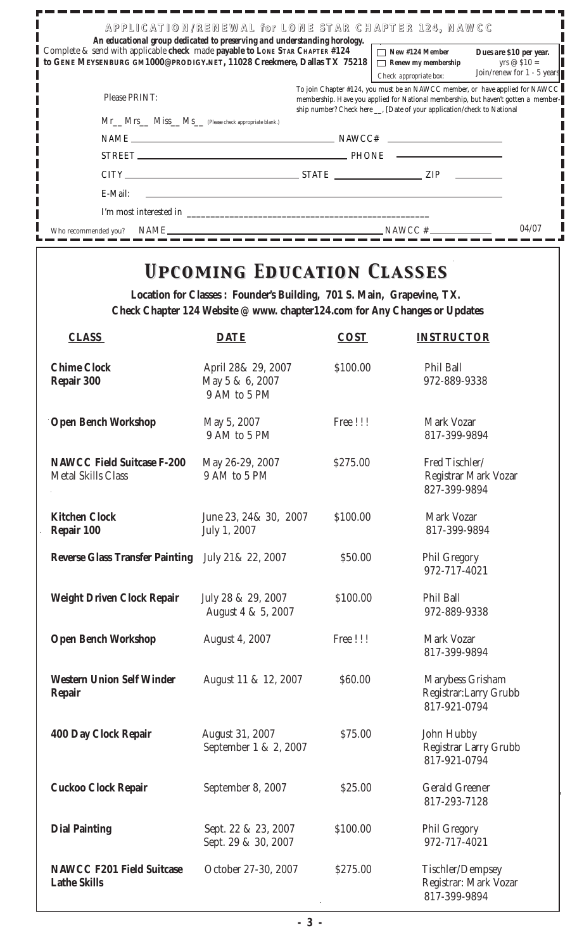| APPLICATION/RENEWAL for LONE STAR CHAPTER 124, NAWCC<br>An educational group dedicated to preserving and understanding horology.                               |             |                                                                                                                                                                                                                                               |                                                                              |  |  |  |
|----------------------------------------------------------------------------------------------------------------------------------------------------------------|-------------|-----------------------------------------------------------------------------------------------------------------------------------------------------------------------------------------------------------------------------------------------|------------------------------------------------------------------------------|--|--|--|
| Complete & send with applicable check made payable to <i>LONE STAR CHAPTER</i> #124<br>to GENE MEYSENBURG GM1000@PRODIGY.NET, 11028 Creekmere, Dallas TX 75218 |             | New #124 Member<br>Renew my membership<br>$\mathcal{L}$<br>Check appropriate box:                                                                                                                                                             | Dues are \$10 per year.<br>yrs $\omega$ \$10 =<br>Join/renew for 1 - 5 years |  |  |  |
| <b>Please PRINT:</b>                                                                                                                                           |             | To join Chapter #124, you must be an NAWCC member, or have applied for NAWCC<br>membership. Have you applied for National membership, but haven't gotten a member-<br>ship number? Check here __, [Date of your application/check to National |                                                                              |  |  |  |
| Mr__ Mrs__ Miss__ Ms__ (Please check appropriate blank.)                                                                                                       |             |                                                                                                                                                                                                                                               |                                                                              |  |  |  |
|                                                                                                                                                                | $NAME \_\_$ |                                                                                                                                                                                                                                               |                                                                              |  |  |  |
|                                                                                                                                                                |             |                                                                                                                                                                                                                                               |                                                                              |  |  |  |
|                                                                                                                                                                |             |                                                                                                                                                                                                                                               |                                                                              |  |  |  |
| E-Mail:                                                                                                                                                        |             |                                                                                                                                                                                                                                               |                                                                              |  |  |  |
|                                                                                                                                                                |             |                                                                                                                                                                                                                                               |                                                                              |  |  |  |
| NAME NAME<br>Who recommended you?                                                                                                                              |             | $NAWCC \#$                                                                                                                                                                                                                                    | 04/07                                                                        |  |  |  |

# *Upcoming Education Classes Upcoming Education Classes*

**Location for Classes : Founder's Building, 701 S. Main, Grapevine, TX. Check Chapter 124 Website @ www. chapter124.com for Any Changes or Updates**

| <b>CLASS</b>                                                   | <b>DATE</b>                                           | <b>COST</b> | <b>INSTRUCTOR</b>                                          |
|----------------------------------------------------------------|-------------------------------------------------------|-------------|------------------------------------------------------------|
| <b>Chime Clock</b><br><b>Repair 300</b>                        | April 28& 29, 2007<br>May 5 & 6, 2007<br>9 AM to 5 PM | \$100.00    | <b>Phil Ball</b><br>972-889-9338                           |
| <b>Open Bench Workshop</b>                                     | May 5, 2007<br>9 AM to 5 PM                           | Free !!!    | <b>Mark Vozar</b><br>817-399-9894                          |
| <b>NAWCC Field Suitcase F-200</b><br><b>Metal Skills Class</b> | May 26-29, 2007<br>9 AM to 5 PM                       | \$275.00    | Fred Tischler/<br>Registrar Mark Vozar<br>827-399-9894     |
| <b>Kitchen Clock</b><br>Repair 100                             | June 23, 24& 30, 2007<br>July 1, 2007                 | \$100.00    | <b>Mark Vozar</b><br>817-399-9894                          |
| <b>Reverse Glass Transfer Painting</b>                         | July 21& 22, 2007                                     | \$50.00     | <b>Phil Gregory</b><br>972-717-4021                        |
| <b>Weight Driven Clock Repair</b>                              | July 28 & 29, 2007<br>August 4 & 5, 2007              | \$100.00    | <b>Phil Ball</b><br>972-889-9338                           |
| <b>Open Bench Workshop</b>                                     | August 4, 2007                                        | Free !!!    | <b>Mark Vozar</b><br>817-399-9894                          |
| <b>Western Union Self Winder</b><br><b>Repair</b>              | August 11 & 12, 2007                                  | \$60.00     | Marybess Grisham<br>Registrar: Larry Grubb<br>817-921-0794 |
| <b>400 Day Clock Repair</b>                                    | August 31, 2007<br>September 1 & 2, 2007              | \$75.00     | John Hubby<br><b>Registrar Larry Grubb</b><br>817-921-0794 |
| <b>Cuckoo Clock Repair</b>                                     | September 8, 2007                                     | \$25.00     | <b>Gerald Greener</b><br>817-293-7128                      |
| <b>Dial Painting</b>                                           | Sept. 22 & 23, 2007<br>Sept. 29 & 30, 2007            | \$100.00    | <b>Phil Gregory</b><br>972-717-4021                        |
| <b>NAWCC F201 Field Suitcase</b><br><b>Lathe Skills</b>        | October 27-30, 2007                                   | \$275.00    | Tischler/Dempsey<br>Registrar: Mark Vozar<br>817-399-9894  |